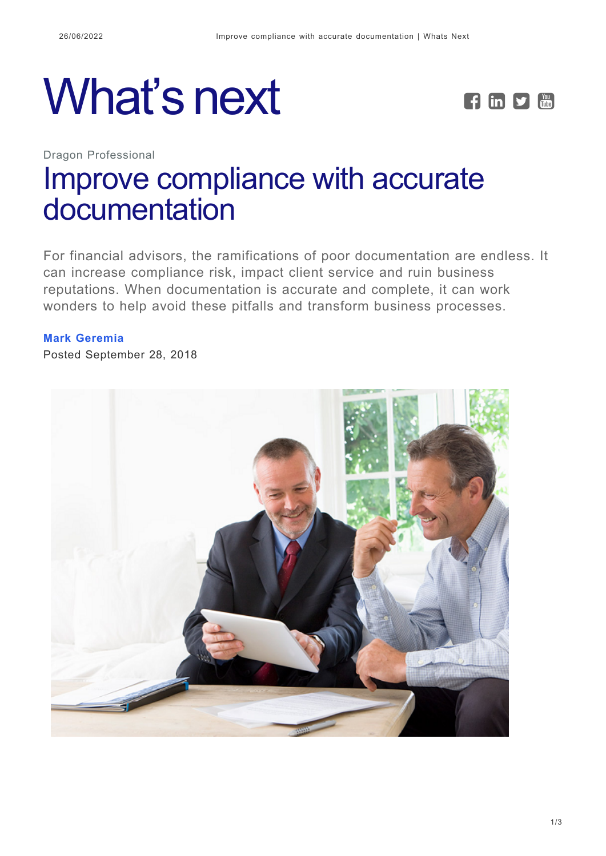# What's next **FERI**



Dragon Professional

## [Improve compliance with accurate](https://whatsnext.nuance.com/dragon-professional/improve-documentation-for-better-financial-compliance/) [documentation](https://whatsnext.nuance.com/dragon-professional/improve-documentation-for-better-financial-compliance/)

For financial advisors, the ramifications of poor documentation are endless. It can increase compliance risk, impact client service and ruin business reputations. When documentation is accurate and complete, it can work wonders to help avoid these pitfalls and transform business processes.

#### **[Mark Geremia](https://whatsnext.nuance.com/author/mark-geremia/)**

Posted September 28, 2018

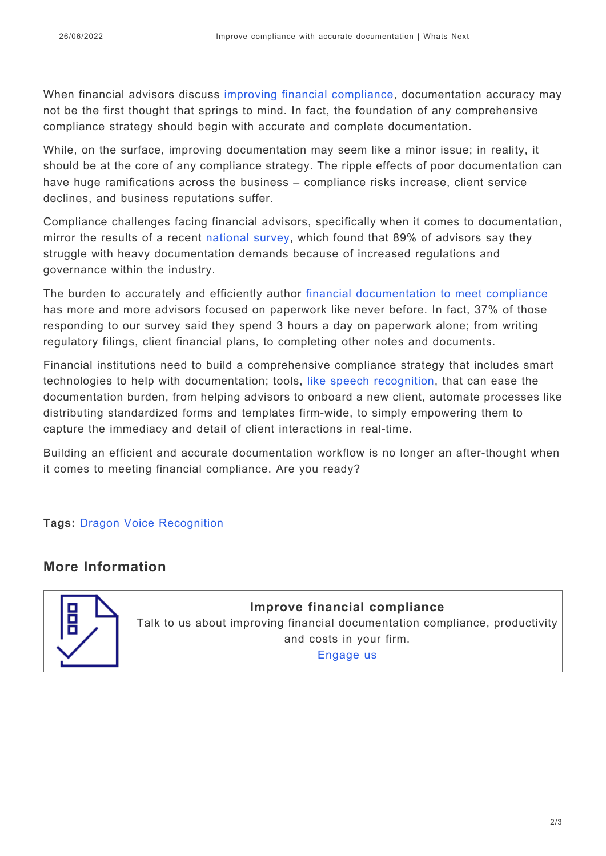When financial advisors discuss [improving financial compliance,](https://www.nuance.com/dragon/campaign/financial-services-documentation.html?utm_source=storygize&utm_medium=display) documentation accuracy may not be the first thought that springs to mind. In fact, the foundation of any comprehensive compliance strategy should begin with accurate and complete documentation.

While, on the surface, improving documentation may seem like a minor issue; in reality, it should be at the core of any compliance strategy. The ripple effects of poor documentation can have huge ramifications across the business – compliance risks increase, client service declines, and business reputations suffer.

Compliance challenges facing financial advisors, specifically when it comes to documentation, mirror the results of a recent [national survey,](https://www.nuance.com/dragon/campaign/financial-documentation-compliance-infographic.html?utm_source=storygize&utm_medium=display) which found that 89% of advisors say they struggle with heavy documentation demands because of increased regulations and governance within the industry.

The burden to accurately and efficiently author [financial documentation to meet compliance](https://www.nuance.com/dragon/campaign/financial-services-documentation.html?utm_source=storygize&utm_medium=display) has more and more advisors focused on paperwork like never before. In fact, 37% of those responding to our survey said they spend 3 hours a day on paperwork alone; from writing regulatory filings, client financial plans, to completing other notes and documents.

Financial institutions need to build a comprehensive compliance strategy that includes smart technologies to help with documentation; tools, [like speech recognition,](https://www.nuance.com/dragon/campaign/financial-services-documentation.html?utm_source=storygize&utm_medium=display) that can ease the documentation burden, from helping advisors to onboard a new client, automate processes like distributing standardized forms and templates firm-wide, to simply empowering them to capture the immediacy and detail of client interactions in real-time.

Building an efficient and accurate documentation workflow is no longer an after-thought when it comes to meeting financial compliance. Are you ready?

#### **Tags:** [Dragon Voice Recognition](https://whatsnext.nuance.com/tag/dragon-voice-recognition/)

### **More Information**



**Improve financial compliance** Talk to us about improving financial documentation compliance, productivity and costs in your firm. [Engage us](https://www.nuance.com/dragon/engage-us.html?divisionVar=Dragon&product=Dragon%20Professional%20Group)